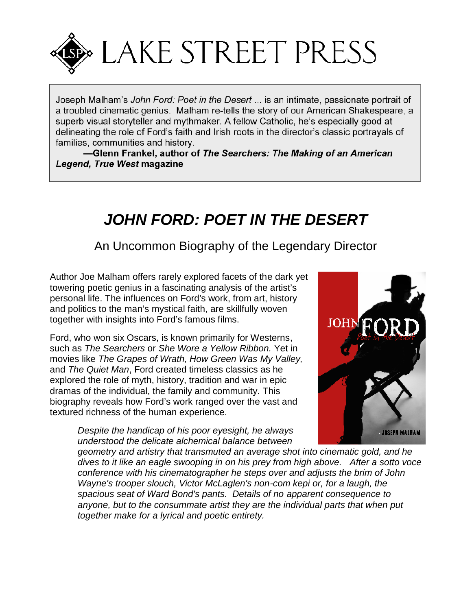

Joseph Malham's *John Ford: Poet in the Desert* ... is an intimate, passionate portrait of a troubled cinematic genius. Malham re-tells the story of our American Shakespeare, a superb visual storyteller and mythmaker. A fellow Catholic, he's especially good at delineating the role of Ford's faith and Irish roots in the director's classic portrayals of families, communities and history.

**—Glenn Frankel, author of** *The Searchers: The Making of an American Legend, True West* **magazine**

# *JOHN FORD: POET IN THE DESERT*

An Uncommon Biography of the Legendary Director

Author Joe Malham offers rarely explored facets of the dark yet towering poetic genius in a fascinating analysis of the artist's personal life. The influences on Ford's work, from art, history and politics to the man's mystical faith, are skillfully woven together with insights into Ford's famous films.

Ford, who won six Oscars, is known primarily for Westerns, such as *The Searchers* or*She Wore a Yellow Ribbon.* Yet in movies like *The Grapes of Wrath, How Green Was My Valley,* and *The Quiet Man*, Ford created timeless classics as he explored the role of myth, history, tradition and war in epic dramas of the individual, the family and community. This biography reveals how Ford's work ranged over the vast and textured richness of the human experience.

> *Despite the handicap of his poor eyesight, he always understood the delicate alchemical balance between*



*geometry and artistry that transmuted an average shot into cinematic gold, and he dives to it like an eagle swooping in on his prey from high above. After a sotto voce conference with his cinematographer he steps over and adjusts the brim of John Wayne's trooper slouch, Victor McLaglen's non-com kepi or, for a laugh, the spacious seat of Ward Bond's pants. Details of no apparent consequence to anyone, but to the consummate artist they are the individual parts that when put together make for a lyrical and poetic entirety.*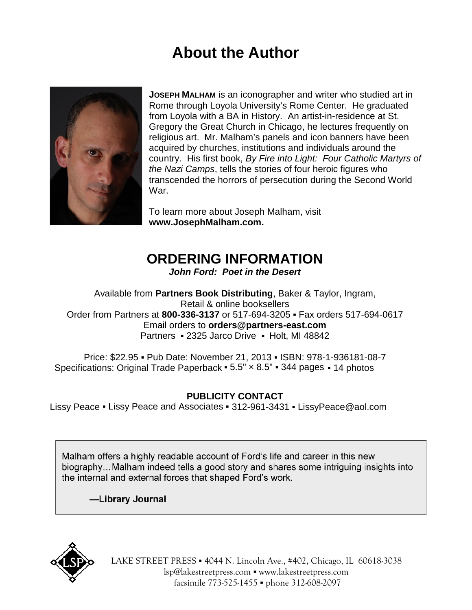# **About the Author**



**JOSEPH MALHAM** is an iconographer and writer who studied art in Rome through Loyola University's Rome Center. He graduated from Loyola with a BA in History. An artist-in-residence at St. Gregory the Great Church in Chicago, he lectures frequently on religious art. Mr. Malham's panels and icon banners have been acquired by churches, institutions and individuals around the country. His first book, *By Fire into Light: Four Catholic Martyrs of the Nazi Camps*, tells the stories of four heroic figures who transcended the horrors of persecution during the Second World War.

To learn more about Joseph Malham, visit **<www.JosephMalham.com>.**

# **ORDERING INFORMATION**

*John Ford: Poet in the Desert*

Available from **Partners Book Distributing**, Baker & Taylor, Ingram, Retail & online booksellers Order from Partners at **800-336-3137** or 517-694-3205 ▪ Fax orders 517-694-0617 Email orders to **[orders@partners-east.com](mailto:orders@partners-east.com)** Partners 2325 Jarco Drive Holt, MI 48842

Price: \$22.95 Pub Date: November 21, 2013 ISBN: 978-1-936181-08-7 Specifications: Original Trade Paperback  $5.5" \times 8.5"$  344 pages 14 photos

# **PUBLICITY CONTACT**

Lissy Peace Lissy Peace and Associates 312-961-3431 [LissyPeace@aol.com](mailto:LissyPeace@aol.com)

Malham offers a highly readable account of Ford's life and career in this new biography…Malham indeed tells a good story and shares some intriguing insights into the internal and external forces that shaped Ford's work.

**—Library Journal**



LAKE STREET PRESS 4044 N. Lincoln Ave., #402, Chicago, IL 60618-3038 [lsp@lakestreetpress.com](mailto:lsp@lakestreetpress.com) <www.lakestreetpress.com> facsimile 773-525-1455 phone 312-608-2097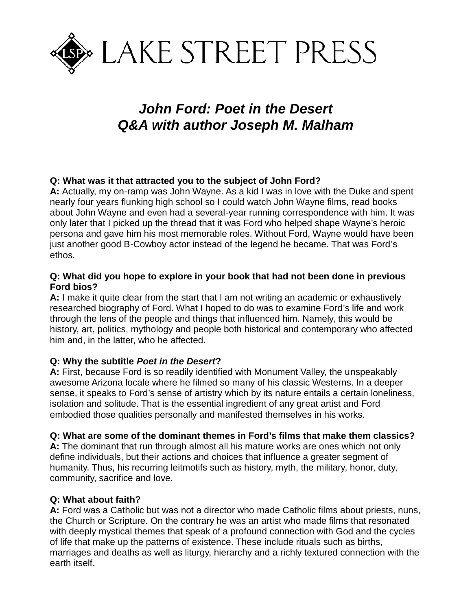

# *John Ford: Poet in the Desert Q&A with author Joseph M. Malham*

## **Q: What was it that attracted you to the subject of John Ford?**

**A:** Actually, my on-ramp was John Wayne. As a kid I was in love with the Duke and spent nearly four years flunking high school so I could watch John Wayne films, read books about John Wayne and even had a several-year running correspondence with him. It was only later that I picked up the thread that it was Ford who helped shape Wayne's heroic persona and gave him his most memorable roles. Without Ford, Wayne would have been just another good B-Cowboy actor instead of the legend he became. That was Ford's ethos.

#### **Q: What did you hope to explore in your book that had not been done in previous Ford bios?**

**A:** I make it quite clear from the start that I am not writing an academic or exhaustively researched biography of Ford. What I hoped to do was to examine Ford's life and work through the lens of the people and things that influenced him. Namely, this would be history, art, politics, mythology and people both historical and contemporary who affected him and, in the latter, who he affected.

#### **Q: Why the subtitle** *Poet in the Desert***?**

**A:** First, because Ford is so readily identified with Monument Valley, the unspeakably awesome Arizona locale where he filmed so many of his classic Westerns. In a deeper sense, it speaks to Ford's sense of artistry which by its nature entails a certain loneliness, isolation and solitude. That is the essential ingredient of any great artist and Ford embodied those qualities personally and manifested themselves in his works.

#### **Q: What are some of the dominant themes in Ford's films that make them classics?**

**A:** The dominant that run through almost all his mature works are ones which not only define individuals, but their actions and choices that influence a greater segment of humanity. Thus, his recurring leitmotifs such as history, myth, the military, honor, duty, community, sacrifice and love.

#### **Q: What about faith?**

**A:** Ford was a Catholic but was not a director who made Catholic films about priests, nuns, the Church or Scripture. On the contrary he was an artist who made films that resonated with deeply mystical themes that speak of a profound connection with God and the cycles of life that make up the patterns of existence. These include rituals such as births, marriages and deaths as well as liturgy, hierarchy and a richly textured connection with the earth itself.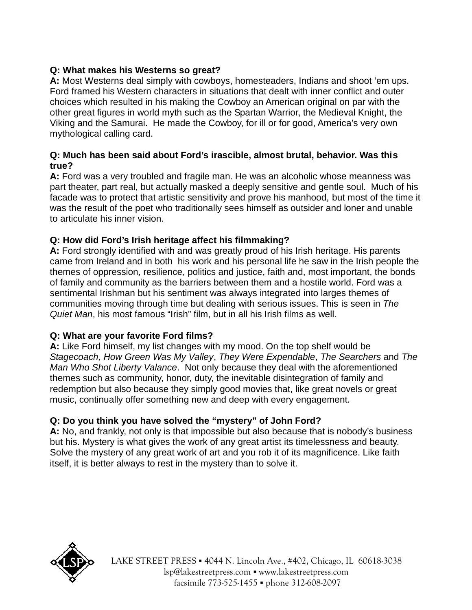# **Q: What makes his Westerns so great?**

**A:** Most Westerns deal simply with cowboys, homesteaders, Indians and shoot 'em ups. Ford framed his Western characters in situations that dealt with inner conflict and outer choices which resulted in his making the Cowboy an American original on par with the other great figures in world myth such as the Spartan Warrior, the Medieval Knight, the Viking and the Samurai. He made the Cowboy, for ill or for good, America's very own mythological calling card.

## **Q: Much has been said about Ford's irascible, almost brutal, behavior. Was this true?**

**A:** Ford was a very troubled and fragile man. He was an alcoholic whose meanness was part theater, part real, but actually masked a deeply sensitive and gentle soul. Much of his facade was to protect that artistic sensitivity and prove his manhood, but most of the time it was the result of the poet who traditionally sees himself as outsider and loner and unable to articulate his inner vision.

# **Q: How did Ford's Irish heritage affect his filmmaking?**

**A:** Ford strongly identified with and was greatly proud of his Irish heritage. His parents came from Ireland and in both his work and his personal life he saw in the Irish people the themes of oppression, resilience, politics and justice, faith and, most important, the bonds of family and community as the barriers between them and a hostile world. Ford was a sentimental Irishman but his sentiment was always integrated into larges themes of communities moving through time but dealing with serious issues. This is seen in *The Quiet Man*, his most famous "Irish" film, but in all his Irish films as well.

## **Q: What are your favorite Ford films?**

**A:** Like Ford himself, my list changes with my mood. On the top shelf would be *Stagecoach*, *How Green Was My Valley*, *They Were Expendable*, *The Searchers* and *The Man Who Shot Liberty Valance*. Not only because they deal with the aforementioned themes such as community, honor, duty, the inevitable disintegration of family and redemption but also because they simply good movies that, like great novels or great music, continually offer something new and deep with every engagement.

## **Q: Do you think you have solved the "mystery" of John Ford?**

**A:** No, and frankly, not only is that impossible but also because that is nobody's business but his. Mystery is what gives the work of any great artist its timelessness and beauty. Solve the mystery of any great work of art and you rob it of its magnificence. Like faith itself, it is better always to rest in the mystery than to solve it.